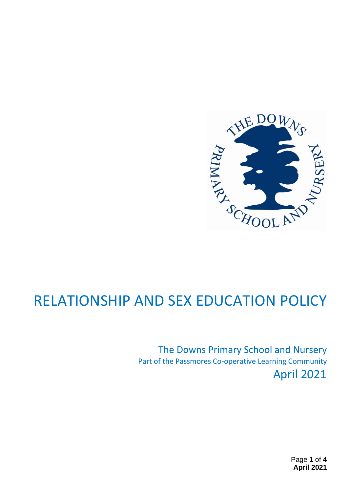

# RELATIONSHIP AND SEX EDUCATION POLICY

The Downs Primary School and Nursery Part of the Passmores Co-operative Learning Community April 2021

> Page **1** of **4 April 2021**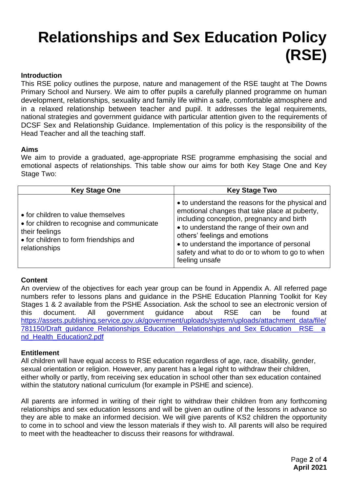# **Relationships and Sex Education Policy (RSE)**

# **Introduction**

This RSE policy outlines the purpose, nature and management of the RSE taught at The Downs Primary School and Nursery. We aim to offer pupils a carefully planned programme on human development, relationships, sexuality and family life within a safe, comfortable atmosphere and in a relaxed relationship between teacher and pupil. It addresses the legal requirements, national strategies and government guidance with particular attention given to the requirements of DCSF Sex and Relationship Guidance. Implementation of this policy is the responsibility of the Head Teacher and all the teaching staff.

# **Aims**

We aim to provide a graduated, age-appropriate RSE programme emphasising the social and emotional aspects of relationships. This table show our aims for both Key Stage One and Key Stage Two:

| <b>Key Stage One</b>                                                                                                                                           | <b>Key Stage Two</b>                                                                                                                                                                                                                                                                                                                            |
|----------------------------------------------------------------------------------------------------------------------------------------------------------------|-------------------------------------------------------------------------------------------------------------------------------------------------------------------------------------------------------------------------------------------------------------------------------------------------------------------------------------------------|
| • for children to value themselves<br>• for children to recognise and communicate<br>their feelings<br>• for children to form friendships and<br>relationships | • to understand the reasons for the physical and<br>emotional changes that take place at puberty,<br>including conception, pregnancy and birth<br>• to understand the range of their own and<br>others' feelings and emotions<br>• to understand the importance of personal<br>safety and what to do or to whom to go to when<br>feeling unsafe |

# **Content**

An overview of the objectives for each year group can be found in Appendix A. All referred page numbers refer to lessons plans and guidance in the PSHE Education Planning Toolkit for Key Stages 1 & 2 available from the PSHE Association. Ask the school to see an electronic version of this document. All government guidance about RSE can be found at [https://assets.publishing.service.gov.uk/government/uploads/system/uploads/attachment\\_data/file/](https://assets.publishing.service.gov.uk/government/uploads/system/uploads/attachment_data/file/781150/Draft_guidance_Relationships_Education__Relationships_and_Sex_Education__RSE__and_Health_Education2.pdf) 781150/Draft guidance Relationships Education Relationships and Sex Education RSE a [nd\\_Health\\_Education2.pdf](https://assets.publishing.service.gov.uk/government/uploads/system/uploads/attachment_data/file/781150/Draft_guidance_Relationships_Education__Relationships_and_Sex_Education__RSE__and_Health_Education2.pdf)

# **Entitlement**

All children will have equal access to RSE education regardless of age, race, disability, gender, sexual orientation or religion. However, any parent has a legal right to withdraw their children, either wholly or partly, from receiving sex education in school other than sex education contained within the statutory national curriculum (for example in PSHE and science).

All parents are informed in writing of their right to withdraw their children from any forthcoming relationships and sex education lessons and will be given an outline of the lessons in advance so they are able to make an informed decision. We will give parents of KS2 children the opportunity to come in to school and view the lesson materials if they wish to. All parents will also be required to meet with the headteacher to discuss their reasons for withdrawal.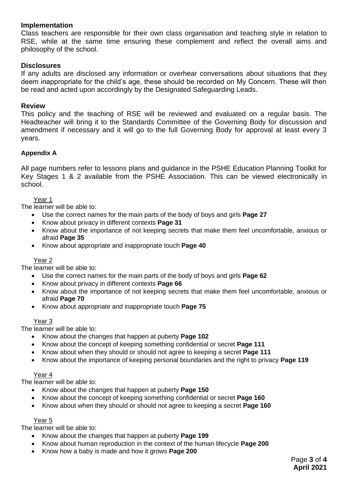# **Implementation**

Class teachers are responsible for their own class organisation and teaching style in relation to RSE, while at the same time ensuring these complement and reflect the overall aims and philosophy of the school.

# **Disclosures**

If any adults are disclosed any information or overhear conversations about situations that they deem inappropriate for the child's age, these should be recorded on My Concern. These will then be read and acted upon accordingly by the Designated Safeguarding Leads.

#### **Review**

This policy and the teaching of RSE will be reviewed and evaluated on a regular basis. The Headteacher will bring it to the Standards Committee of the Governing Body for discussion and amendment if necessary and it will go to the full Governing Body for approval at least every 3 years.

## **Appendix A**

All page numbers refer to lessons plans and guidance in the PSHE Education Planning Toolkit for Key Stages 1 & 2 available from the PSHE Association. This can be viewed electronically in school.

#### Year 1

The learner will be able to:

- Use the correct names for the main parts of the body of boys and girls **Page 27**
- Know about privacy in different contexts **Page 31**
- Know about the importance of not keeping secrets that make them feel uncomfortable, anxious or afraid **Page 35**
- Know about appropriate and inappropriate touch **Page 40**

#### Year 2

The learner will be able to:

- Use the correct names for the main parts of the body of boys and girls **Page 62**
- Know about privacy in different contexts **Page 66**
- Know about the importance of not keeping secrets that make them feel uncomfortable, anxious or afraid **Page 70**
- Know about appropriate and inappropriate touch **Page 75**

#### Year 3

The learner will be able to:

- Know about the changes that happen at puberty **Page 102**
- Know about the concept of keeping something confidential or secret **Page 111**
- Know about when they should or should not agree to keeping a secret **Page 111**
- Know about the importance of keeping personal boundaries and the right to privacy **Page 119**

#### Year 4

The learner will be able to:

- Know about the changes that happen at puberty **Page 150**
- Know about the concept of keeping something confidential or secret **Page 160**
- Know about when they should or should not agree to keeping a secret **Page 160**

#### Year 5

The learner will be able to:

- Know about the changes that happen at puberty **Page 199**
- Know about human reproduction in the context of the human lifecycle **Page 200**
- Know how a baby is made and how it grows **Page 200**